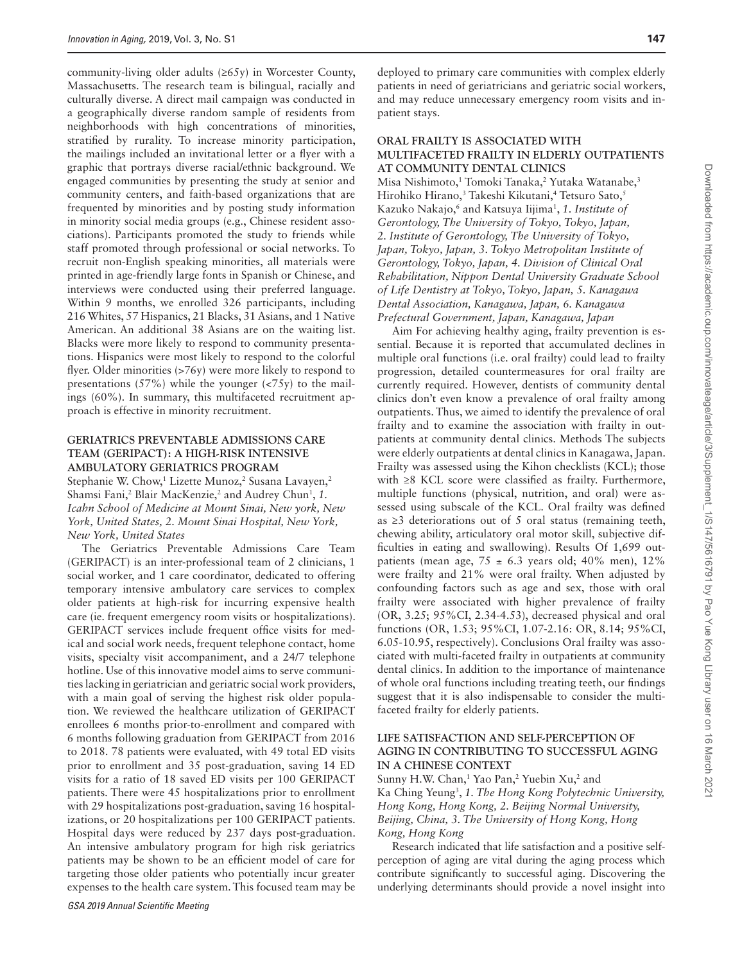community-living older adults (≥65y) in Worcester County, Massachusetts. The research team is bilingual, racially and culturally diverse. A direct mail campaign was conducted in a geographically diverse random sample of residents from neighborhoods with high concentrations of minorities, stratified by rurality. To increase minority participation, the mailings included an invitational letter or a flyer with a graphic that portrays diverse racial/ethnic background. We engaged communities by presenting the study at senior and community centers, and faith-based organizations that are frequented by minorities and by posting study information in minority social media groups (e.g., Chinese resident associations). Participants promoted the study to friends while staff promoted through professional or social networks. To recruit non-English speaking minorities, all materials were printed in age-friendly large fonts in Spanish or Chinese, and interviews were conducted using their preferred language. Within 9 months, we enrolled 326 participants, including 216 Whites, 57 Hispanics, 21 Blacks, 31 Asians, and 1 Native American. An additional 38 Asians are on the waiting list. Blacks were more likely to respond to community presentations. Hispanics were most likely to respond to the colorful flyer. Older minorities (>76y) were more likely to respond to presentations  $(57%)$  while the younger  $( $75y$ )$  to the mailings (60%). In summary, this multifaceted recruitment approach is effective in minority recruitment.

#### **GERIATRICS PREVENTABLE ADMISSIONS CARE TEAM (GERIPACT): A HIGH-RISK INTENSIVE AMBULATORY GERIATRICS PROGRAM**

Stephanie W. Chow, 1 Lizette Munoz, 2 Susana Lavayen, 2 Shamsi Fani,<sup>2</sup> Blair MacKenzie,<sup>2</sup> and Audrey Chun<sup>1</sup>, 1. *Icahn School of Medicine at Mount Sinai, New york, New York, United States, 2. Mount Sinai Hospital, New York, New York, United States*

The Geriatrics Preventable Admissions Care Team (GERIPACT) is an inter-professional team of 2 clinicians, 1 social worker, and 1 care coordinator, dedicated to offering temporary intensive ambulatory care services to complex older patients at high-risk for incurring expensive health care (ie. frequent emergency room visits or hospitalizations). GERIPACT services include frequent office visits for medical and social work needs, frequent telephone contact, home visits, specialty visit accompaniment, and a 24/7 telephone hotline. Use of this innovative model aims to serve communities lacking in geriatrician and geriatric social work providers, with a main goal of serving the highest risk older population. We reviewed the healthcare utilization of GERIPACT enrollees 6 months prior-to-enrollment and compared with 6 months following graduation from GERIPACT from 2016 to 2018. 78 patients were evaluated, with 49 total ED visits prior to enrollment and 35 post-graduation, saving 14 ED visits for a ratio of 18 saved ED visits per 100 GERIPACT patients. There were 45 hospitalizations prior to enrollment with 29 hospitalizations post-graduation, saving 16 hospitalizations, or 20 hospitalizations per 100 GERIPACT patients. Hospital days were reduced by 237 days post-graduation. An intensive ambulatory program for high risk geriatrics patients may be shown to be an efficient model of care for targeting those older patients who potentially incur greater expenses to the health care system. This focused team may be

deployed to primary care communities with complex elderly patients in need of geriatricians and geriatric social workers, and may reduce unnecessary emergency room visits and inpatient stays.

#### **ORAL FRAILTY IS ASSOCIATED WITH MULTIFACETED FRAILTY IN ELDERLY OUTPATIENTS AT COMMUNITY DENTAL CLINICS**

Misa Nishimoto, 1 Tomoki Tanaka, 2 Yutaka Watanabe, 3 Hirohiko Hirano, 3 Takeshi Kikutani, 4 Tetsuro Sato, 5 Kazuko Nakajo, 6 and Katsuya Iijima1 , *1. Institute of Gerontology, The University of Tokyo, Tokyo, Japan, 2. Institute of Gerontology, The University of Tokyo, Japan, Tokyo, Japan, 3. Tokyo Metropolitan Institute of Gerontology, Tokyo, Japan, 4. Division of Clinical Oral Rehabilitation, Nippon Dental University Graduate School of Life Dentistry at Tokyo, Tokyo, Japan, 5. Kanagawa Dental Association, Kanagawa, Japan, 6. Kanagawa Prefectural Government, Japan, Kanagawa, Japan*

Aim For achieving healthy aging, frailty prevention is essential. Because it is reported that accumulated declines in multiple oral functions (i.e. oral frailty) could lead to frailty progression, detailed countermeasures for oral frailty are currently required. However, dentists of community dental clinics don't even know a prevalence of oral frailty among outpatients. Thus, we aimed to identify the prevalence of oral frailty and to examine the association with frailty in outpatients at community dental clinics. Methods The subjects were elderly outpatients at dental clinics in Kanagawa, Japan. Frailty was assessed using the Kihon checklists (KCL); those with ≥8 KCL score were classified as frailty. Furthermore, multiple functions (physical, nutrition, and oral) were assessed using subscale of the KCL. Oral frailty was defined as ≥3 deteriorations out of 5 oral status (remaining teeth, chewing ability, articulatory oral motor skill, subjective difficulties in eating and swallowing). Results Of 1,699 outpatients (mean age,  $75 \pm 6.3$  years old; 40% men), 12% were frailty and 21% were oral frailty. When adjusted by confounding factors such as age and sex, those with oral frailty were associated with higher prevalence of frailty (OR, 3.25; 95%CI, 2.34-4.53), decreased physical and oral functions (OR, 1.53; 95%CI, 1.07-2.16: OR, 8.14; 95%CI, 6.05-10.95, respectively). Conclusions Oral frailty was associated with multi-faceted frailty in outpatients at community dental clinics. In addition to the importance of maintenance of whole oral functions including treating teeth, our findings suggest that it is also indispensable to consider the multifaceted frailty for elderly patients.

## **LIFE SATISFACTION AND SELF-PERCEPTION OF AGING IN CONTRIBUTING TO SUCCESSFUL AGING IN A CHINESE CONTEXT**

Sunny H.W. Chan,<sup>1</sup> Yao Pan,<sup>2</sup> Yuebin Xu,<sup>2</sup> and Ka Ching Yeung3 , *1. The Hong Kong Polytechnic University, Hong Kong, Hong Kong, 2. Beijing Normal University, Beijing, China, 3. The University of Hong Kong, Hong Kong, Hong Kong*

Research indicated that life satisfaction and a positive selfperception of aging are vital during the aging process which contribute significantly to successful aging. Discovering the underlying determinants should provide a novel insight into